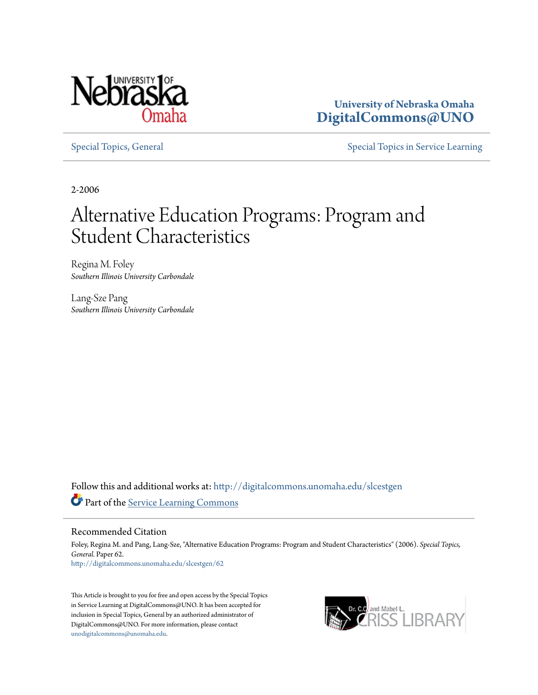

**University of Nebraska Omaha [DigitalCommons@UNO](http://digitalcommons.unomaha.edu?utm_source=digitalcommons.unomaha.edu%2Fslcestgen%2F62&utm_medium=PDF&utm_campaign=PDFCoverPages)**

[Special Topics, General](http://digitalcommons.unomaha.edu/slcestgen?utm_source=digitalcommons.unomaha.edu%2Fslcestgen%2F62&utm_medium=PDF&utm_campaign=PDFCoverPages) [Special Topics in Service Learning](http://digitalcommons.unomaha.edu/slcespecialtopics?utm_source=digitalcommons.unomaha.edu%2Fslcestgen%2F62&utm_medium=PDF&utm_campaign=PDFCoverPages)

2-2006

# Alternative Education Programs: Program and Student Characteristics

Regina M. Foley *Southern Illinois University Carbondale*

Lang-Sze Pang *Southern Illinois University Carbondale*

Follow this and additional works at: [http://digitalcommons.unomaha.edu/slcestgen](http://digitalcommons.unomaha.edu/slcestgen?utm_source=digitalcommons.unomaha.edu%2Fslcestgen%2F62&utm_medium=PDF&utm_campaign=PDFCoverPages) Part of the [Service Learning Commons](http://network.bepress.com/hgg/discipline/1024?utm_source=digitalcommons.unomaha.edu%2Fslcestgen%2F62&utm_medium=PDF&utm_campaign=PDFCoverPages)

Recommended Citation

Foley, Regina M. and Pang, Lang-Sze, "Alternative Education Programs: Program and Student Characteristics" (2006). *Special Topics, General.* Paper 62. [http://digitalcommons.unomaha.edu/slcestgen/62](http://digitalcommons.unomaha.edu/slcestgen/62?utm_source=digitalcommons.unomaha.edu%2Fslcestgen%2F62&utm_medium=PDF&utm_campaign=PDFCoverPages)

This Article is brought to you for free and open access by the Special Topics in Service Learning at DigitalCommons@UNO. It has been accepted for inclusion in Special Topics, General by an authorized administrator of DigitalCommons@UNO. For more information, please contact [unodigitalcommons@unomaha.edu](mailto:unodigitalcommons@unomaha.edu).

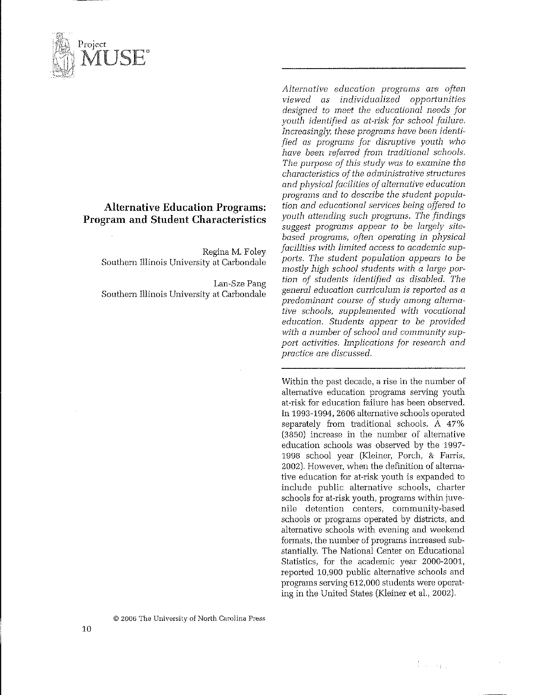

# **Alternative Education Programs: Program and Student Characteristics**

Regina M. Foley Southern illinois University at Carbondale

Lan-Sze Pang Southern Illinois University at Carbondale *Altemative education programs are often viewed as individualized opportunities designed to meet the educational needs for youth identified as at-risk for school failure. Increasingly, these programs have been identified as programs for dismptive youth who have been refen·ed from traditional schools. The purpose of this study was to examine the characteristics of the administrative structures and physical facilities of alternative education programs and to describe the student population and educational services being offered to youth attending such programs. The findings suggest programs appear to be largely sitebased programs, often operating* in *physical facilities with limited access to academic sup*ports. The student population appears to be *mostly high school students with a large portion of students identified as disabled. The general education curriculum is reported as a predominant course of study among altemative schools, supplemented with vocational education. Students appear to be provided with a number of school and community support activities. Implications* for *research and practice are discussed.* 

Within the past decade, a rise in the number of alternative education programs serving youth at-risk for education failure has been observed. In 1993-1994, 2606 alternative schools operated separately from traditional schools. A 47% (3850) increase in the number of alternative education schools was observed by the 1997- 1998 school year (Kleiner, Porch, & Farris, 2002). However, when the definition of alternative education for at-risk youth is expanded to include public alternative schools, charter schools for at-risk youth, programs within juvenile detention centers, community-based schools or programs operated by districts, and alternative schools with evening and weekend formats, the number of programs increased substantially. The National Center on Educational Statistics, for the academic year 2000-2001, reported 10,900 public alternative schools and programs serving 612,000 students were operating in the United States (Kleiner et a!., 2002).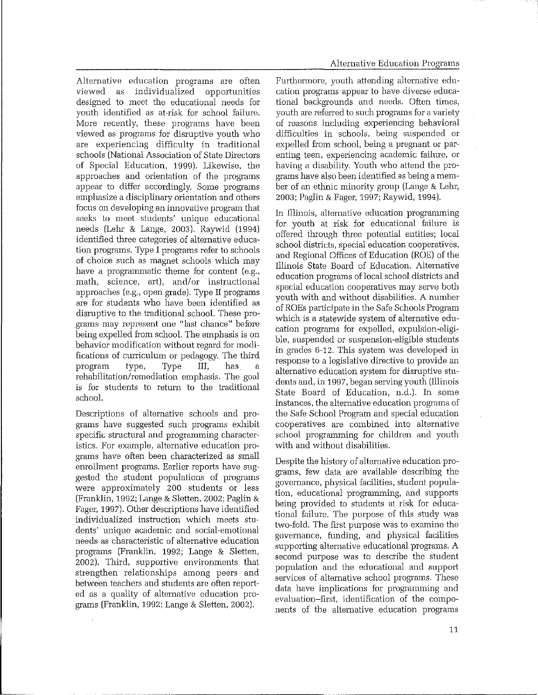**Alternative education programs are often**  viewed as individualized opportunities designed to meet the educational needs for youth identified as at-risk for school failure. More recently, these programs have been viewed as programs for disruptive youth who are experiencing difficulty in traditional schools (National Association of State Directors of Special Education, 1999). Likewise, the approaches and orientation of the programs appear to differ accordingly. Some programs emphasize a disciplinary orientation and others **focus on developing an innovative program that**  seeks to meet students' unique educational needs (Lehr & Lange, 2003). Raywid (1994) identified three categories of alternative education programs. Type I programs refer to schools of choice such as magnet schools which may have a programmatic theme for content (e.g., math, science, art), and/or instructional approaches (e.g., open grade). Type II programs are for students who have been identified as disruptive to the traditional school. These pro**grams may represent one "last chance" before**  being expelled from school. The emphasis is on behavior modification without regard for modifications of curriculum or pedagogy. The third program type, Type III, has rehabilitation/remediation emphasis. The goal is for students to return to the traditional school.

Descriptions of altemative schools and programs have suggested such programs exhibit specific structural and programming characteristics. For example, alternative education programs have often been characterized as small emollment programs. Earlier reports have suggested the student populations of programs were approximately 200 students or less (Franklin, 1992; Lange & Sletten, 2002; Paglin & Fager, 1997). Other descriptions have identified individualized instruction which meets stu**dents' unique acadernic and social-emotional**  needs as characteristic of alternative education programs (Franklin, 1992; Lange & Sletten, 2002). Third, supportive environments that strengthen relationships among peers and between teachers and students are often reported as a quality of alternative education programs (Franklin, 1992; Lange & Sletten, 2002).

**Furthermore, youth attending alternative education prograrns appear to have diverse educational backgrounds and needs. Often times, youth me referred to such programs for a variety of reasons including experiencing behavioral**  difficulties in schools, being suspended or expelled from school, being a pregnant or par**enting teen, experiencing academic failure, or**  having a disability. Youth who attend the programs have also been identified as being a member of an ethnic minority group (Lange & Lehr, 2003; Paglin & Fager, 1997; Raywid, 1994).

In Illinois, alternative education programming for youth at risk for educational failure is offered through three potential entities; local school districts, special education cooperatives, and Regional Offices of Education (ROE) of the Illinois State Board of Education. Alternative education programs of local school districts and special education cooperatives may serve both youth with and without disabilities. A number of ROEs participate in the Safe Schools Program which is a statewide system of alternative education programs for expelled, expulsion-eligible, suspended or suspension-eligible students in grades 6-12. This system was developed in response to a legislative directive to provide an alternative education system for disruptive students and, in 1997, began serving youth (Illinois State Board of Education, n.d.). In some instances, the alternative education programs of the Safe School Program and special education **cooperatives aTe cmnbined into alternative**  school programming for children and youth with and without disabilities.

Despite the history of alternative education programs, few data are available describing the governance, physical facilities, student population, educational programming, and supports being provided to students at risk for educational failure. The purpose of this study was two-fold. The first purpose was to examine the governance, funding, and physical facilities supporting alternative educational programs. A second purpose was to describe the student population and the educational and support services of alternative school programs. These data have implications for programming and evaluation-first, identification of the components of the alternative education programs

------- --------------------------------------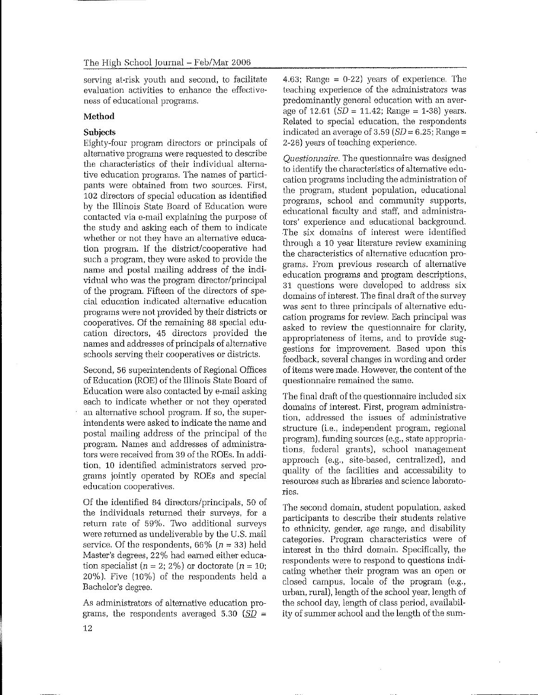**serving at-risk youth and second, to facilitate evaluation activities to enhance the effectiveness of educational programs.** 

#### **Method**

## **Subjects**

Eighty-four program directors or principals of **alternative programs were requested to describe**  the characteristics of their individual alternative education programs. The names of participants were obtained from two sources. First, 102 directors of special education as identified by the Illinois State Board of Education were contacted via e-mail explaining the purpose of the study and asking each of them to indicate whether or not they have an alternative education progrmn. If the district/cooperative had such a program, they were asked to provide the name and postal mailing address of the individual who was the program director/principal of the program. Fifteen of the directors of special education indicated alternative education programs were not provided by their districts or cooperatives. Of the remaining 88 special education directors, 45 directors provided the names and addresses of principals of alternative schools serving their cooperatives or districts.

Second, 56 superintendents of Regional Offices of Education (ROE) of the Illinois State Board of Education were also contacted by e-mail asking each to indicate whether or not they operated an alternative school program. Jf so, the superintendents were asked to indicate the name and postal mailing address of the principal of the program. Names and addresses of administrators were received from 39 of the ROEs. In addition, 10 identified administrators served programs jointly operated by ROEs and special **education cooperatives.** 

Of the identified 84 directors/principals, 50 of the individuals returned their surveys, for a return rate of 59%. Two additional surveys were returned as undeliverable by the U.S. mail service. Of the respondents,  $66\%$  ( $n = 33$ ) held Master's degrees, 22% had earned either education specialist ( $n = 2$ ; 2%) or doctorate ( $n = 10$ ;  $20\%$ ). Five  $(10\%)$  of the respondents held a Bachelor's degree.

As administrators of alternative education programs, the respondents averaged 5.30  $(SD =$ 

4.63; Range  $= 0-22$  years of experience. The teaching experience of the administrators was predominantly general education with an average of 12.61 ( $SD = 11.42$ ; Range = 1-38) years. Related to special education, the respondents indicated an average of 3.59  $(SD = 6.25;$  Range  $=$ 2-26) years of teaching experience.

*Questionnaire.* The questionnaire was designed to identify the characteristics of alternative education programs including the administration of the program, student population, educational programs, school and community supports, educational faculty and staff, and administrators' experience and educational background. The six domains of interest were identified through a 10 year literature review examining **the characteristics of alternative education programs. Frorn previous research of alternative**  education programs and program descriptions, 31 questions were developed to address six domains of interest. The final draft of the survey was sent to three principals of alternative education programs for review. Each principal was asked to review the questionnaire for clarity, appropriateness of items, and to provide suggestions for improvement. Based upon this feedback, several changes in wording and order **of items were made. However, the content of the questionnaire remained the same.** 

The final draft of the questionnaire included six domains of interest. First, program administralion, addressed the issues of administrative structure (i.e., independent program, regional program), funding sources (e.g., state appropriations, federal grants), school management approach (e.g., site-based, centralized), and quality of the facilities and accessability to **resources such as libraries and science laboratories.** 

The second domain, student population, asked participants to describe their students relative to ethnicity, gender, age range, and disability **categories. Program characteristics were of**  interest in the third domain. Specifically, the respondents were to respond to questions indicating whether their program was an open or closed campus, locale of the program (e.g., urban, rural), length of the school year, length of the school day, length of class period, availability of summer school and the length of the sum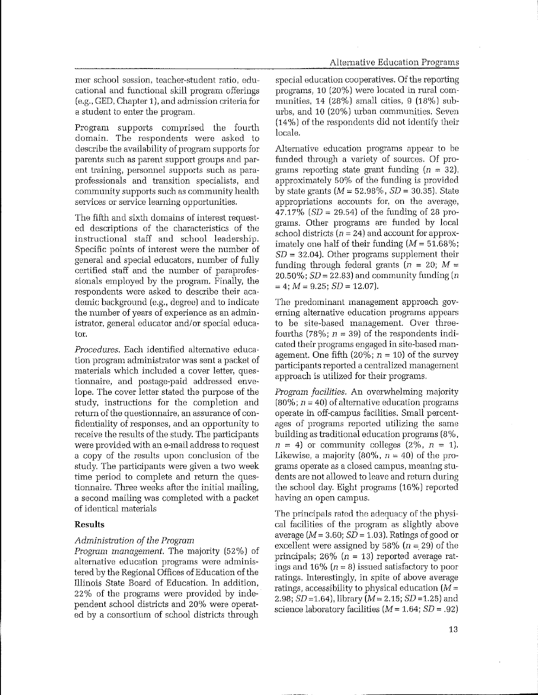mer school session, teacher-student ratio, edu**cational and functional skill prograrn offerings**  (e.g., GED, Chapter 1), and admission criteria for a student to enter the program.

Program supports comprised the fourth domain. The respondents were asked to describe the availability of program supports for **parents such as parent support groups and par**ent training, personnel supports such as para**professionals and transition specialists, and**  community supports such as community health services or service learning opportunities.

The fifth and sixth domains of interest requested descriptions of the characteristics of the instructional staff and school leadership. Specific points of interest were the number of general and special educators, number of fully certified staff and the number of paraprofessionals employed by the program. Finally, the respondents were asked to describe their academic background (e.g., degree) and to indicate **the number of years of experience as an admin**istrator, general educator and/or special educator.

*Procedures.* Each identified alternative education program administrator was sent a packet of materials which included a cover letter, questionnaire, and postage-paid addressed envelope. The cover letter stated the purpose of the study, instructions for the completion and return of the questionnaire, an assurance of confidentiality of responses, and an opportunity to receive the results of the study. The participants were provided with an e-mail address to request a copy of the results upon conclusion of the **study. The participants were given a tvvo week**  time period to complete and return the questionnaire. Three weeks after the initial mailing, a second mailing was completed with a packet of identical materials

#### **Results**

# *Administration of the Program*

*Program management.* The majority (52%) of alternative education programs were administered by the Regional Offices of Education of the Illinois State Board of Education. In addition, 22% of the programs were provided by independent school districts and 20% were operated by a consortium of school districts through

special education cooperatives. Of the reporting programs, 10 (20%) were located in rural communities, 14 (28%) small cities, 9 (18%) suburbs, and 10 (20%) urban communities. Seven (14%) of the respondents did not identify their locale.

**Alternative education programs appear to be**  funded through a variety of sources. Of programs reporting state grant funding  $(n = 32)$ , approximately 50% of the funding is provided by state grants  $(M = 52.98\%, SD = 30.35)$ . State **appropriations accounts for, on the average,**   $47.17\%$  *(SD = 29.54)* of the funding of 28 programs. Other programs are funded by local school districts  $(n = 24)$  and account for approximately one half of their funding  $(M = 51.68\%)$ ;  $SD = 32.04$ ). Other programs supplement their funding through federal grants ( $n = 20$ ;  $M =$  $20.50\%$ ; *SD* = 22.83) and community funding (*n*)  $= 4$ ;  $M = 9.25$ ;  $SD = 12.07$ ).

The predominant management approach governing alternative education programs appears to be site-based management. Over threefourths (78%;  $n = 39$ ) of the respondents indicated their programs engaged in site-based management. One fifth (20%;  $n = 10$ ) of the survey participants reported a centralized management approach is utilized for their programs.

*Program facilities.* An overwhelming majority  $(80\%; n = 40)$  of alternative education programs operate in off-campus facilities. Small percentages of programs reported utilizing the same building as traditional education programs (8%,  $n = 4$  or community colleges (2%,  $n = 1$ ). Likewise, a majority (80%,  $n = 40$ ) of the programs operate as a closed campus, meaning students are not allowed to leave and return during the school day. Eight programs (16%) reported having an open campus.

The principals rated the adequacy of the physical facilities of the program as slightly above average  $(M = 3.60; S\overline{D} = 1.03)$ . Ratings of good or excellent were assigned by 58% ( $n = 29$ ) of the principals; 26%  $(n = 13)$  reported average ratings and 16%  $(n = 8)$  issued satisfactory to poor ratings. Interestingly, in spite of above average ratings, accessibility to physical education  $(M =$ 2.98;  $SD = 1.64$ ), library  $(M = 2.15; SD = 1.25)$  and science laboratory facilities (M = 1.64; *SD* = .92)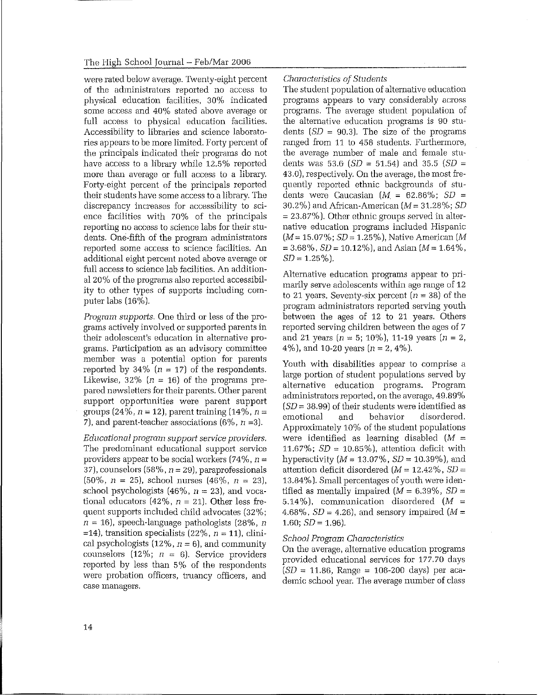were rated below average. Twenty-eight percent **of the adrninistrators reported no access to**  physical education facilities, 30% indicated some access and 40% stated above average or full access to physical education facilities. Accessibility to libraries and science laboratories appears to be more limited. Forty percent of the principals indicated their programs do not have access to a library while 12.5% reported more than average or full access to a library. Forty-eight percent of the principals reported their students have some access to a library. The **discrepancy increases for accessibility to sci**ence facilities with 70% of the principals reporting no access to science labs for their students. One-fifth of the program administrators reported some access to science facilities. An additional eight percent noted above average or full access to science lab facilities. An additional 20% of the programs also reported accessibility to other types of supports including computer labs (16%).

Program *suppozts.* One third or less of the programs actively involved or supported parents in their adolescent's education in alternative programs. Participation as an advisory committee member was a potential option for parents reported by 34%  $(n = 17)$  of the respondents. Likewise, 32% ( $n = 16$ ) of the programs prepared newsletters for their parents. Other parent support opportunities were parent support groups (24%,  $n = 12$ ), parent training (14%,  $n =$ 7), and parent-teacher associations  $(6\%, n=3)$ .

*Educational program suppozt service providers.*  The predominant educational support service providers appear to be social workers  $(74\%, n=$ 37), counselors (58%,  $n = 29$ ), paraprofessionals  $(50\%, n = 25)$ , school nurses  $(46\%, n = 23)$ , school psychologists (46%,  $n = 23$ ), and vocational educators (42%,  $n = 21$ ). Other less frequent supports included child advocates (32%;  $n = 16$ ), speech-language pathologists (28%, n  $=$ 14), transition specialists (22%, *n* = 11), clinical psychologists  $(12\%, n = 6)$ , and community counselors (12%;  $n = 6$ ). Service providers reported by less than 5% of the respondents were probation officers, truancy officers, and case managers.

#### *Characteristics of Students*

The student population of alternative education **progrmns appems to vary considerably across**  programs. The average student population of the alternative education programs is 90 students  $(SD = 90.3)$ . The size of the programs ranged from 11 to 458 students. Furthermore, the average number of male and female students was 53.6 ( $SD = 51.54$ ) and 35.5 ( $SD =$ 43.0), respectively. On the average, the most frequently reported ethnic backgrounds of students were Caucasian  $(M = 62.86\%; SD =$ 30.2%) and African-American ( $M = 31.28\%$ ; *SD*  $= 23.87\%$ ). Other ethnic groups served in alternative education programs included Hispanic  $(M = 15.07\%; SD = 1.25\%)$ , Native American  $(M = 15.07\%; SD = 1.25\%)$  $=3.68\%$ ,  $SD = 10.12\%$ , and Asian  $(M = 1.64\%$ ,  $SD = 1.25\%$ ).

Alternative education programs appear to primarily serve adolescents within age range of 12 to 21 years. Seventy-six percent  $(n = 38)$  of the program administrators reported serving youth between the ages of 12 to 21 years. Others reported serving children between the ages of 7 and 21 years ( $n = 5$ ; 10%), 11-19 years ( $n = 2$ , 4%), and 10-20 years  $(n = 2, 4\%)$ .

Youth with disabilities appear to comprise a large portion of student populations served by alternative education programs. Program administrators reported, on the average, 49.89%  $(SD = 38.99)$  of their students were identified as emotional and behavior disordered. Approximately 10% of the student populations were identified as learning disabled  $(M =$ 11.67%;  $SD = 10.85\%$ , attention deficit with hyperactivity ( $M = 13.07\%$ ,  $SD = 10.39\%$ ), and attention deficit disordered  $(M = 12.42\%$ ,  $SD =$ 13.84% ). Small percentages of youth were identified as mentally impaired ( $M = 6.39\%$ ,  $SD =$ 5.14%), communication disordered  $(M =$ 4.68%,  $SD = 4.26$ , and sensory impaired ( $M =$ 1.60;  $SD = 1.96$ ).

#### *School Program Characteristics*

**On the average, alternative education programs**  provided educational services for 177.70 days  $SD = 11.86$ , Range = 108-200 days) per academic school year. The average number of class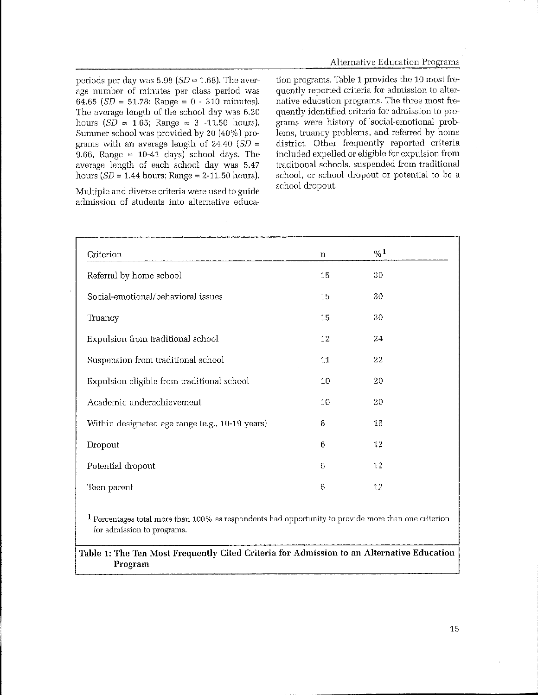periods per day was  $5.98$  ( $SD = 1.68$ ). The average number of minutes per class period was 64.65 ( $SD = 51.78$ ; Range = 0 - 310 minutes). The average length of the school day was 6.20 hours  $(SD = 1.65$ ; Range = 3 -11.50 hours). Summer school was provided by 20 (40%) programs with an average length of 24.40  $(SD =$ 9.66, Range =  $10-41$  days) school days. The average length of each school day was 5.47 hours  $(SD = 1.44$  hours; Range = 2-11.50 hours).

Multiple and diverse criteria were used to guide admission of students into alternative education programs. Table 1 provides the 10 most frequently reported criteria for admission to alternative education programs. The three most frequently identified criteria for admission to programs were history of social-emotional problems, truancy problems, and referred by home district. Other frequently reported criteria included expelled or eligible for expulsion from traditional schools, suspended from traditional school, or school dropout or potential to be a school dropout.

| Criterion                                       | $\mathbf n$ | $\frac{9}{0}$ 1 |  |
|-------------------------------------------------|-------------|-----------------|--|
| Referral by home school                         | 15          | 30              |  |
| Social-emotional/behavioral issues              | 15          | 30              |  |
| Truancy                                         | 15          | 30              |  |
| Expulsion from traditional school               | 12          | 24              |  |
| Suspension from traditional school              | 11          | 22              |  |
| Expulsion eligible from traditional school      | 10          | 20              |  |
| Academic underachievement                       | 10          | 20              |  |
| Within designated age range (e.g., 10-19 years) | 8           | 16              |  |
| Dropout                                         | 6           | 12              |  |
| Potential dropout                               | 6           | 12              |  |
| Teen parent                                     | 6           | 12              |  |

 $1$  Percentages total more than 100% as respondents had opportunity to provide more than one criterion for admission to programs.

Table 1: The Ten Most Frequently Cited Criteria for Admission to an Alternative Education Program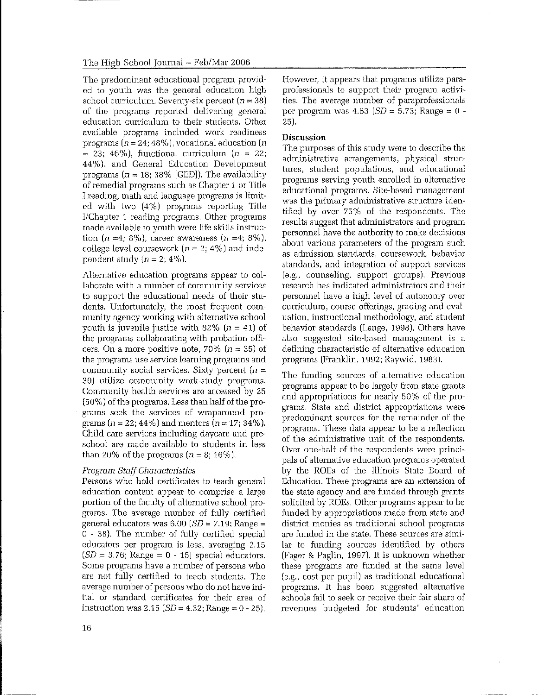**The predorninant educational program provid**ed to youth was the general education high school curriculum. Seventy-six percent  $(n = 38)$ of the programs reported delivering general education curriculum to their students. Other available programs included work readiness programs ( $n = 24$ ; 48%), vocational education (*n*  $\frac{23}{5}$  23; 46%), functional curriculum (n = 22; 44%), and General Education Development programs ( $n = 18$ ; 38% [GED]). The availability of remedial programs such as Chapter 1 or Title I reading, math and language programs is limited with two (4%) programs reporting Title I/Chapter 1 reading programs. Other programs made available to youth were life skills instruction  $(n = 4; 8\%)$ , career awareness  $(n = 4; 8\%)$ , college level coursework  $(n = 2, 4\%)$  and independent study  $(n = 2, 4\%)$ .

Alternative education programs appear to collaborate with a number of community services to support the educational needs of their students. Unfortunately, the most frequent community agency working with alternative school vouth is juvenile justice with 82%  $(n = 41)$  of the programs collaborating with probation officers. On a more positive note, 70% ( $n = 35$ ) of the programs use service learning programs and community social services. Sixty percent  $(n =$ 30) utilize community work-study programs. Community health services are accessed by 25  $(50\%)$  of the programs. Less than half of the programs seek the services of wraparound programs ( $n = 22$ ; 44%) and mentors ( $n = 17$ ; 34%). Child care services including daycare and preschool are made available to students in less than 20% of the programs  $(n = 8; 16\%)$ .

#### *Program Staff Characteristics*

Persons who hold certificates to teach general education content appear to comprise a large portion of the faculty of alternative school programs. The average number of fully certified general educators was  $6.00$  ( $SD = 7.19$ ; Range = 0 - 38). The number of fully certified special educators per program is less, averaging 2.15  $(SD = 3.76;$  Range = 0 - 15) special educators. Some programs have a number of persons who are not fully certified to teach students. The average number of persons who do not have initial or standard certificates for their area of instruction was 2.15 ( $SD = 4.32$ ; Range = 0 - 25).

**However, it appears that prograrns utilize para**professionals to support their program activities. The average number of paraprofessionals per program was 4.63 ( $SD = 5.73$ ; Range = 0 -25).

#### **Discussion**

The purposes of this study were to describe the **administrative arrangements, physical struc**tures, student populations, and educational **programs serving youth enrolled in alternative educational programs. Site-based 1nanagement**  was the primary administrative structure identified by over 75% of the respondents. The results suggest that administrators and program personnel have the authority to make decisions about various parameters of the program such as admission standards, coursework, behavior **standards, and integration of support services**  (e.g., counseling, support groups). Previous research has indicated administrators and their personnel have a high level of autonomy over curriculum, course offerings, grading and evaluation, instructional methodology, and student behavior standards (Lange, 1998). Others have also suggested site-based management is a **defining characteristic of alternative education**  programs (Franklin, 1992; Raywid, 1983).

The funding sources of alternative education programs appear to be largely from state grants and appropriations for nearly 50% of the pro**grams. State and district appropriations were**  predominant sources for the remainder of the programs. These data appear to be a reflection of the administrative unit of the respondents. Over one-half of the respondents were princi**pals of alternative education programs operated**  by the ROEs of the Illinois State Board of **Education. These programs are an extension of**  the state agency and are funded through grants solicited by ROEs. Other programs appear to be funded by appropriations made from state and district monies as traditional school programs are funded in the state. These sources are similar to funding sources identified by others (Fager & Paglin, 1997). It is unknown whether these programs are funded at the same level (e.g., cost per pupil) as traditional educational programs. It has been suggested alternative schools fail to seek or receive their fair share of revenues budgeted for students' education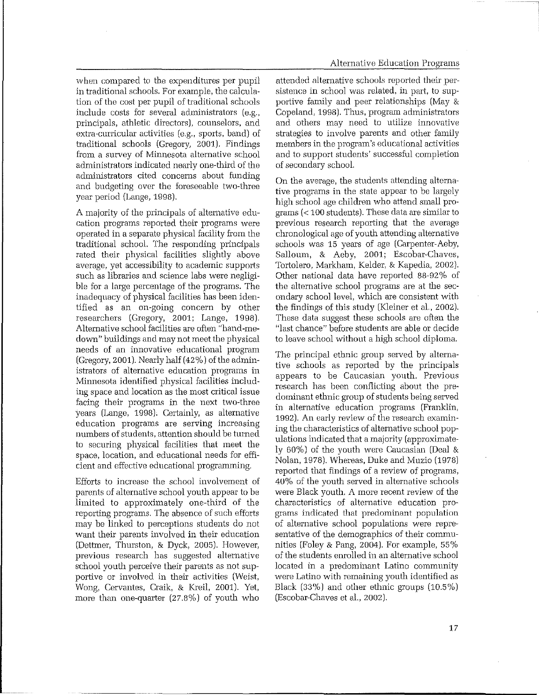when compared to the expenditures per pupil in traditional schools. For example, the calculation of the cost per pupil of traditional schools **include costs for several administrators (e.g.,**  principals, athletic directors), counselors, and extra-curricular activities (e.g., sports, band) of traditional schools (Gregory, 2001). Findings from a survey of Minnesota alternative school administrators indicated nearly one-third of the administrators cited concerns about funding and budgeting over the foreseeable two-three year period (Lange, 1998).

A majority of the principals of alternative education programs reported their programs were operated in a separate physical facility from the traditional school. The responding principals rated their physical facilities slightly above **average, yet accessibility to academic supports**  such as libraries and science labs were negligible for a large percentage of the programs. The inadequacy of physical facilities has been identified as an on -going concern by other researchers (Gregory, 2001; Lange, 1998). Alternative school facilities are often "hand-medown" buildings and may not meet the physical needs of an innovative educational program (Gregory, 2001). Nearly half(42%) of the administrators of alternative education programs in Minnesota identified physical facilities includ**ing space and location as the Inost critical issue**  facing their programs in the next two-three years (Lange, 1998), Certainly, as alternative **education programs are serving increasing**  numbers of students, attention should be tmned to securing physical facilities that meet the space, location, and educational needs for effi**cient and effective educational programming.** 

Efforts to increase the school involvement of parents of alternative school youth appear to be limited to approximately one-third of the reporting programs. The absence of such efforts may be linked to perceptions students do not want their parents involved in their education (Dettmer, Thurston, & Dyck, 2005). However, previous research has suggested alternative school youth perceive their parents as not supportive or involved in their activities (Weist, Wong, Cervantes, Craik, & Kreil, 2001), Yet, more than one-quarter  $(27.8\%)$  of youth who

attended alternative schools reported their persistence in school was related, in part, to supportive family and peer relationships (May & Copeland, 1998). Thus, program administrators **and others 1nay need to utilize innovative**  strategies to involve parents and other family **rnernbers in the program's educational activities**  and to support students' successful completion of secondary school.

**On the average, the students attending alternative programs in the state appear to be largely**  high school age children who attend small programs(< 100 students). These data are similar to **previous research reporting that the average**  chronological age of youth attending alternative schools was 15 years of age (Carpenter-Aeby, Salloum, & Aeby, 2001; Escobar-Chaves, Tortolero, Markham, Kelder, & Kapedia, 2002). Other national data have reported 88-92% of the alternative school programs are at the secondary school level, which are consistent with the findings of this study (Kleiner et al., 2002). These data suggest these schools are often the "last chance" before students are able or decide to leave school without a high school diploma.

The principal etlmic group served by alternative schools as reported by the principals **appears to be Caucasian youth. Previous**  research has been conflicting about the predominant ethnic group of students being served **in alternative education programs (Franklin,**  1992). An early review of the research examining the characteristics of alternative school populations indicated that a majority (approximately 60%) of the youth were Caucasian (Deal & Nolan, 1978). Whereas, Duke and Muzio (1978) reported that findings of a review of programs, 40% of the youth served in alternative schools were Black youth. A more recent review of the **characteristics of alternative education pro**grams indicated that predominant population of alternative school populations were representative of the demographics of their communities (Foley & Pang, 2004). For example, 55% of the students enrolled in an alternative school located in a predominant Latino community were Latino with remaining youth identified as Black (33%) and other ethnic groups (10.5%) (Escobar-Chaves et al., 2002).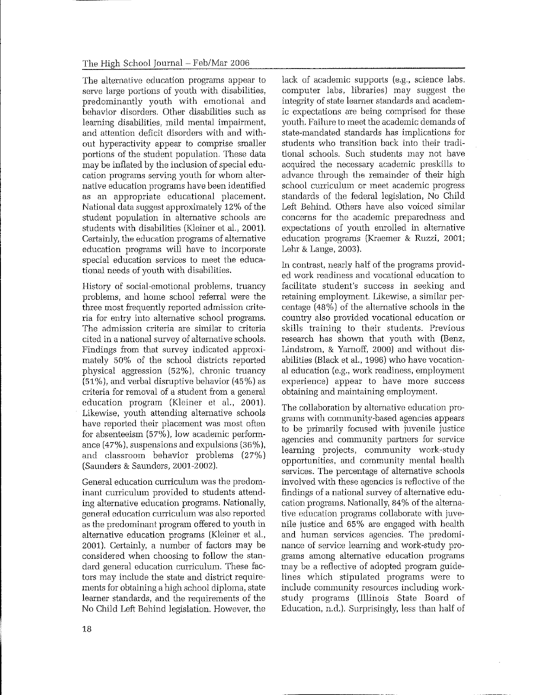**The alternative education progrmns appear to serve large portions of youth with disabilities,**  predominantly youth with emotional and behavior disorders. Other disabilities such as learning disabilities, mild mental impairment, and attention deficit disorders with and without hyperactivity appear to comprise smaller portions of the student population. These data may be inflated by the inclusion of special education programs serving youth for whom alter**native education progrmns have been identified**  as an appropriate educational placement. National data suggest approximately 12% of the student population in alternative schools are students with disabilities (Kleiner et al., 2001). Certainly, the education programs of alternative education programs will have to incorporate special education services to meet the educational needs of youth with disabilities.

History of social-emotional problems, truancy problems, and home school referral were the three most frequently reported admission criteria for entry into alternative school programs. The admission criteria are similar to criteria cited in a national survey of alternative schools. Findings from that survey indicated approximately 50% of the school districts reported physical aggression (52%), chronic truancy (51%), and verbal dismptive behavior (45%) as **criteria for removal of a student frorn a general**  education program (Kleiner et al., 2001). Likewise, youth attending altemative schools have reported their placement was most often for absenteeism  $(57%)$ , low academic performance (47%), suspensions and expulsions (35%), and classroom behavior problems (27%) (Saunders & Saunders, 2001-2002).

General education curriculum was the predominant curriculum provided to students attending alternative education programs. Nationally, **general education curriculum was also reported**  as the predominant program offered to youth in alternative education programs [Kleiner et al., 2001). Certainly, a number of factors may be considered when choosing to follow the standard general education curriculum. These factors may include the state and district requirements for obtaining a high school diploma, state learner standards, and the requirements of the No Child Left Behind legislation. However, the

lack of academic supports (e.g., science labs, computer labs, libraries) may suggest the **integrity of state learner standards and academic expectations are being comprised for these**  youth. Failure to meet the academic demands of state-mandated standards has implications for students who transition back into their traditional schools. Such students may not have **acquired the necessary academic preskills to**  advance through the remainder of their high **school curricuhun or 1neet academic progress**  standards of the federal legislation, No Child Left Behind. Others have also voiced similar concerns for the academic preparedness and expectations of youth enrolled in alternative education programs (Kraemer & Ruzzi, 2001; Lehr & Lange, 2003).

In contrast, nearly half of the programs provid**ed work readiness and vocational education to**  facilitate student's success in seeking and **retaining employment. Likewise, a similar per**centage (48%) of the alternative schools in the country also provided vocational education or skills training to their students. Previous research has shown that youth with (Benz, Lindstrom, & Yarnoff, 2000) and without disabilities (Black et al., 1996) who have vocational education (e.g., work readiness, employment **experience) appear to have more success**  obtaining and maintaining employment.

The collaboration by alternative education programs with community-based agencies appears to be primarily focused with juvenile justice agencies and community partners for service learning projects, community work-study opportunities, and community mental health services. The percentage of alternative schools involved with these agencies is reflective of the findings of a national survey of alternative education programs. Nationally, 84% of the alternative education programs collaborate with juvenile justice and 65% are engaged with health and human services agencies. The predominance of service learning and work-study programs among alternative education programs may be a reflective of adopted program guidelines which stipulated programs were to include community resources including workstudy programs (Illinois State Board of Education, n.d.). Surprisingly, loss than half of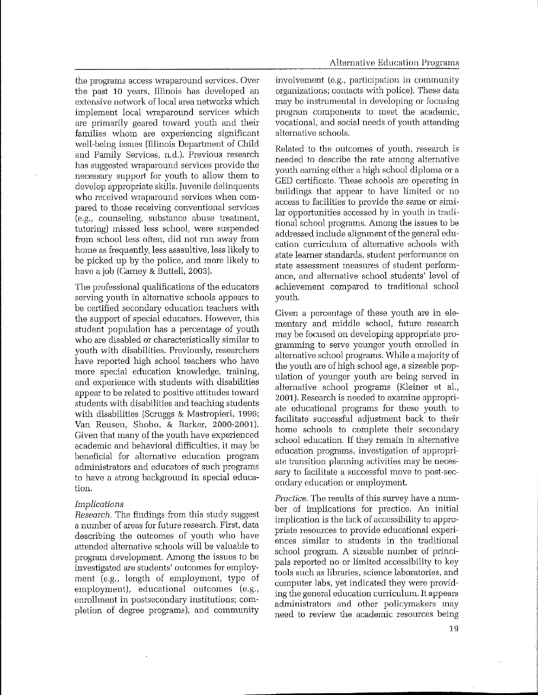the programs access wraparound services. Over the past 10 years, Illinois has developed an extensive network of local area networks which implement local wraparound services which are primarily geared toward youth and their families whom are experiencing significant well-being issues (Illinois Department of Child and Family Services, n.d.). Previous research has snggested wraparound services provide the necessary support for youth to allow them to develop appropriate skills. juvenile delinquents who received wraparound services when compared to those receiving conventional services  $(e.g., comseling, substance abuse treatment,$ tutoring) missed less school, were suspended from school less often, did not run away from home as frequently, less assaultive, less likely to be picked up by the police, and more likely to have a job (Carney & Buttell, 2003).

The professional qualifications of the educators serving youth in alternative schools appears to be certified secondary education teachers with the support of special educators. However, this student population has a percentage of youth who are disabled or characteristically similar to youth with disabilities. Previously, researchers have reported high school teachers who have more special education knowledge, training, and experience with students with disabilities appear to be related to positive attitudes toward students with disabilities and teaching students with disabilities (Scruggs & Mastropieri, 1996; Van Reusen, Shoho, & Barker, 2000-2001). Given that many of the youth have experienced academic and behavioral difficulties, it may be beneficial for alternative education program administrators and educators of such programs to have a strong background in special education.

## *Implications*

*Research.* The findings from this study suggest a number of areas for future research. First, data describing the outcomes of youth who have attended alternative schools will be valuable to program development. Among the issues to be investigated are students' outcomes for employment [e.g., length of employment, type of employment), educational outcomes (e.g., enrollment in postsecondary institutions; completion of degree programs), and community

involvement (e.g., participation in community organizations; contacts with police). These data may be instrumental in developing or focusing program components to meet the academic, vocational, and social needs of youth attending alternative schools.

Related to the outcomes of youth, research is needed to describe the rate among alternative youth earning either a high school diploma or a GED certificate. These schools are operating in buildings that appear to have limited or no access to facilities to provide the same or similar opportunities accessed by in youth in traditional school programs. Among the issues to be addressed include alignment of the general education curriculum of alternative schools with state learner standards, student performance on state assessment measures of student performance, and alternative school students' level of achievement compared to traditional school youth.

Given a percentage of these youth are in elementary and middle school, future research may be focused on developing appropriate programming to serve younger youth enrolled in alternative school programs. While a majority of the youth are of high school age, a sizeable population of younger youth are being served in alternative school programs [Kleiner et a!., 2001). Resemch is needed to examine appropriate educational programs for these youth to facilitate successful adjustment back to their home schools to complete their secondary school education. If they remain in alternative education programs, investigation of appropriate transition planning activities may be necessary to facilitate a successful move to post-secondary education or employment.

*Practice.* The results of this survey have a number of implications for practice. An initial implication is the lack of accessibility to appropriate resources to provide educational experiences similar to students in the traditional school program. A sizeable number of principals reported no or limited accessihility to key tools such as libraries, science laboratories, and computer labs, yet indicated they were providing the general education curriculum. It appears administrators and other policymakers may need to review the academic resources being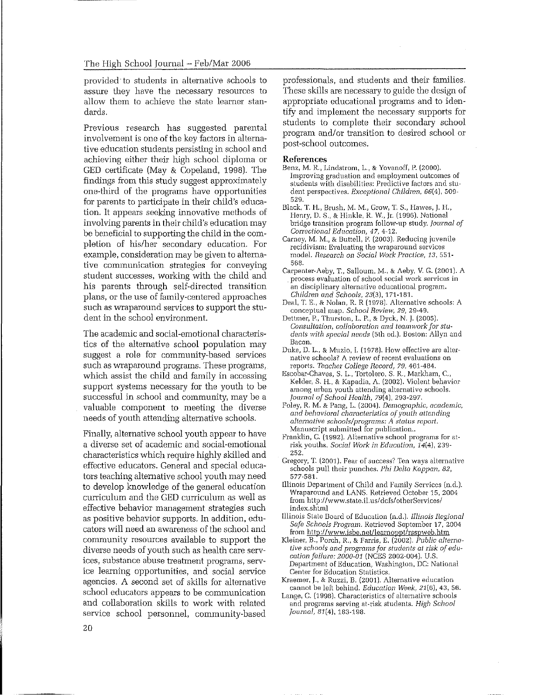provided to students in alternative schools to assure they have the necessary resources to allow them to achieve the state learner standards.

Previous research has suggested parental involvement is one of the key factors in alternative education students persisting in school aud achieving either their high school diploma or GED cettificate (May & Copeland, 1998). The findings from this study suggest approximately one-third of the programs have opportunities for parents to participate in their child's education. It appears seeking innovative methods of involving parents in their child's education may be beneficial to supporting the child in the completion of his/her secondary education. For example, consideration may he given to alternative communication strategies for conveying student successes, working with the child and his parents through self-directed transition plans, or the use of family-centered approaches such as wraparound services to support the student in the school environment.

The academic and social-emotional characteristics of the alternative school population may suggest a role for community-based services such as wraparound programs. These programs, which assist the child and family in accessing support systems necessary for the youth to be successful in school and community, may be a valuable component to meeting the diverse needs of youth attending alternative schools.

Finally, alternative school youth appear to have a diverse set of academic and social-emotional characteristics which require highly skilled and effective educators. General and special educators teaching alternative school youth may need to develop knowledge of the general education curriculum and the GED curriculum as well as effective behavior management strategies such as positive behavior supports. ln addition, educators vvill need an awareness of the school and community resources available to support the diverse needs of youth such as health care services, substance abuse treatment programs, serv~ ice learning opportunities, and social service agencies. A second set of skills for alternative school educators appears to be comrnunication and collaboration skills to work with related service school personnel, community-based

professionals, and students and their families. These skills are necessary to guide the design of appropriate educational programs and to identify and implement the necessary supports for students to complete their secondary school program and/or transition to desired school or post-school outcomes.

#### References

- Benz, M. R., Lindstrom, L., & Yovanoff, P. (2000). Improving graduation and employment outcomes of students with disabilities: Predictive factors and student perspectives. *Exceplionol Children,* 66(4), 509- 529.
- Black, T. H., Brush, M. M., Grow, T. S., Hawes,]. H., Henry, D. S., & Hinkle, R. W., Jr. (1996). National bridge transition program follow-up study. *Journal of Correctional Education, 47,* 4-12.
- Carney, M. M., & Buttell, F. (2003). Reducing juvenile recidivism: Evaluating the wraparound services model. *Research on Social Work Practice*, 13, 551-568.
- Carpenter-Aeby, T., Salloum, M., & Aeby, V. G. (2001). A process evaluation of school social work services in an disciplinary alternative educational program. *Children and Schools,* 23(3), 171-181.
- Deal, T. E., & Nolan, R. R (1978). Alternative schools: A conceptual map. *School Review,* 29, 29-49.
- Dettmer, P., Thurston, L. P., & Dyck, N.J. (2005). *Consultation, collaboration and teamwozk for students with special needs* (5th ed.). Boston: Allyn and Bacon.
- Duke, D. L., & Muzio, I. (1978). How effective are alternative schools? A review of recent evaluations on reports. *Teacher College Record*, 79, 461-484.
- Escobar-Chaves, S. L., Tortolero, S. R., Markham, C., Kelder, S. H., & Kapadia, A. (2002). Violent behavior among urban youth attending alternative schools. *Journal of School Health,* 79(4), 293-297.
- Foley, R. M. & Pang, L. (2004). *Demographic, academic, and behavioral characteristics of youth attending alt.ernative schools/programs:* A *slalus report.*  Manuscript submitted for publication..
- Franklin, C. (1992). Alternative school programs for atrisk youths. *Social Work in Education*, 14(4), 239-252.
- Gregory, T. (2001). Fear of success? Ten ways alternative schools pull their punches. *Phi Delta Kappan, 82,*  577-581.
- Illinois Depmtment of Child and Family Services (n.d.). Wraparound and LANS. Retrieved October 15, 2004 from http://www.state.il.us/dcfs/otherServices/ index.shtml
- Illinois State Board of Education (n.d.). *Illinois Regional Safe Schools Program.* Retrieved September 17, 2004 from http://www.isbe.net/learnoppt/rsspweb.htm
- Kleiner, B., Porch, R., & Farris, E. (2002). *Public alterna*tive schools and programs for students at risk of edu*cation failure:* 2000-01 (NCES 2002-004). U.S. Department of Education, Washington, DC: National Center for Education Statistics.
- Kraemer, J., & Ruzzi, B. (2001). Alternative education cannot be left behind. *Education Week*, 21(6), 43, 56.
- Lange, C. (1998). Characteristics of alternative schools and programs serving at-risk students. *High School Journal,* 81(4), 183-198.